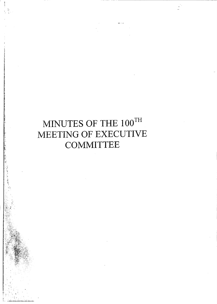# **MINUTES OF THE IOOTH MEETING OF EXECUTIVE COMMITTEE**

 $j' \in \mathbb{N}$  .  $\frac{1}{2}$  ,  $\frac{1}{2}$  ,  $\frac{1}{2}$  ,  $\frac{1}{2}$  ,  $\frac{1}{2}$  ,  $\frac{1}{2}$  $-1.7$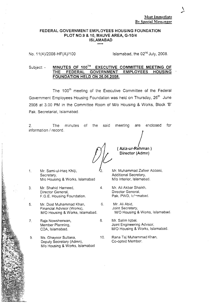#### Most Immediate By Special Messenger

#### FEDERAL GOVERNMENT EMPLOYEES HOUSING FOUNDATION PLOT NO.9 & 10, MAUVE AREA, *G-10f4* ISLAMABAD

No. 11(4)/2008-HF(A)/100 Islamabad, the  $02<sup>nd</sup>$  July, 2008.

#### Subject: - MINUTES OF 100<sup>TH</sup> EXECUTIVE COMMITTEE MEETING OF THE FEDERAL GOVERNMENT EMPLOYEES HOUSING FEDERAL GOVERNMENT EMPLOYEES HOUSING FOUNDATION HELD ON 26.06.2008.

The 100<sup>th</sup> meeting of the Executive Committee of the Federal Government Employees Housing Foundation was held on Thursday, 26<sup>th</sup> June 2008 at 3.00 PM in the Committee Room of M/o Housing & Works, Block 'B' Pak. Secretariat, Islamabad.

2. The minutes of the said information / record. meeting are enclosed for

/ ( Aziz-ur-Rehman ) Director (Admn)

- 1. Mr. Sami-ul-Haq Khilji,  $\mathcal{I}_2$ . Mr. Muhammad Zafeer Abbasi, Secretary, <br>
M/o Housing & Works, Islamabad M/o Interior, Islamabad. *M/o* Housing & Works, Islamabad
- 3. Mr. Shahid Hameed, 4. Mr. Ali Akbar Shaikh. Director General, F.G.E. Housing Foundation. Pak. PWD, Is!~mabad.
- 5. Mr. Dost Muhammad Khan, 6. Mr. Ali Abid, *M/O* Housing & Works, Islamabad. *M/O* Housing & Works, Islamabad.
- 7. Raja Nowsherwan, 8. Mr. Salim Iqbal, Member Planning, and a member Planning, and a member of Joint Engineering Advisor, CDA, Islam and Advisor, and A
- 9. Ms. Ghayoor Sultana, 10. Rana Taj Muhammad Khan,<br>Deputy Secretary (Admn). Co-opted Member. Deputy Secretary (Admn), *Mia* Housing & Works, Islamabad

Financial Advisor (Works),  $\frac{1}{100}$  Joint Secretary, <br>M/O Housing & Works, Islamabad. M/O Housing & Works, Islamabad.

M/O Housing & Works, Islamabad.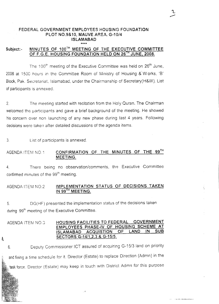#### **FEDERAL GOVERNMENT EMPLOYEES HOUSING FOUNDATION PLOT NO.9&10, MAUVE AREA. G-10/4 ISLAMABAD \*\*\*\***

#### **Subject:- MINUTES OF 100TH MEETING OF THE EXECUTIVE COMMITTEE OF F.G.E. HOUSING FOUNDATION HELD ON 26TH JUNE, 2008.**

The 100<sup>th</sup> meeting of the Executive Committee was held on  $26<sup>th</sup>$  June, 2008 at 1500 hours in the Committee Room of Ministry of Housing  $\&$  Works, 'B' Block,Pak. Secretariat, Islamabad, under the Chairmanship of Secretary(H&W). List of participants is annexed.

2. The meeting started with recitation from the Holy Quran. The Chairman welcomed the participants and gave a brief background of the meeting. He showed his concern over non launching of any new phase during last 4 years. Following decisions were taken after detailed discussions of the agenda items.

3. List of participants is annexed.

A

#### AGENDA ITEM NO <sup>1</sup> **CONFIRMATION OF THE MINUTES OF THE 99TH MEETING.**

4. There being no observation/comments, the Executive Committee confirmed minutes of the 99<sup>th</sup> meeting.

#### AGENDA ITEM NO.2 **IMPLEMENTATION STATUS OF DECISIONS TAKEN IN 99fA MEETING.**

5. DG(HF) presented the implementation status of the decisions taken during 99<sup>th</sup> meeting of the Executive Committee.

#### AGENDA ITEM NO.::! **HOUSING FACILITIES TO FEDERAL GOVERNMENT EMPLOYEES PHASE-IV OF HOUSING SCHEME AT ISLAMABAD ACQUISTION OF LAND IN SUB SECTORS G-14/1 ,2,3 & G-15/5.**

6. Deputy Commissioner ICT assured of acquiring G-15/3 land on priority and fixing a time schedule for it. Director (Estate) to replace Direction (Admn) in the task force. Director (Estate) may keep in touch with District Admn for this purpose

.,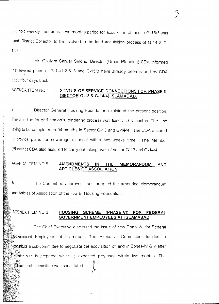and hold weekly meetings. Two months period for acquisition of land in G-15/3 was fixed. District Collector to be involved in the land acquisition process of G-14 & G-15/3.

Mr. Ghulam Sarwar Sindhu, Director (Urban Planning) CDA informed that revised plans of G-14/1,2 & 3 and G-15/3 have already been issued by COA about four days back.

#### AGENDA ITEM NO.4 **STATUS OF SERVICE CONNECTIONS FOR PHASE-III (SECTOR G-13 & G-14/4) ISLAMABAD.**

7. Director General Housing Foundation explained the present position. The time line for grid station's, tendering process was fixed as 03 months. The Line laying to be completed in 04 months in Sector G-13 and G-14/4. The CDA assured to provide plans for sewerage disposal within two weeks time. The Member (Planning) CDA also assured to carry out taking over of sector G-13 and G-14/4.

#### AGENDA ITEM NOS **AMENDMENTS IN THE MEMORANDUM AND ARTICLES OF ASSOCIATION.**

and Articles of Association of the F.G.E. Housing Foundation. 8. The Committee approved and adopted the amended Memorandum

#### **HOUSING SCHEME (PHASE-VI) FOR FEDERAL GOVERNMENT EMPLOYEES AT ISLAMABAD.** AGENDA ITEM NO.6

The Chief Executive discussed the issue of new Phase-VI for Federal Government Employees at Islamabad. The Executive Committee decided to 'f"l" ু**constitut**e a sub-committee to negotiate the acquisition of land in Zones-IV & V afte.<br>াতিক  $~\cdot$  . master plan is prepared which is expected proposed within two months. The following sub-committee was constituted:-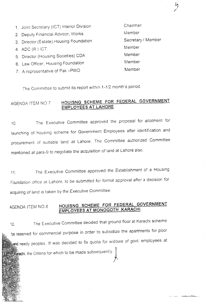1. Joinl Secretary (ICT) Interior Division Chairmar 2. Deputy Financial Advisor, Works. Member 3. Director (Estate). Housing Foundation Secretary / Member 4. ADC (R ) ICT. Member 5. Director (Housing Societies) CDA Member 6. Law Officer, Housing Foundation Member 7. A representative of Pak -PWD Member

 $\frac{1}{2}$ /

منعور

The Committee to submit its report within 1-1/2 month's period.

## AGENDA ITEM N07 **HOUISNG SCHEME FOR FEDERAL GOVERNMENT EMPLOYEES AT LAHORE.**

10. The Executive Committee approved the proposal for allotment for launching of housing scheme for Government Employees after identification and procurement of suitable land at Lahore. The Committee authorized Committee mentioned at para-9 to negotiate the acquisition of land at Lahore also.

11. The Executive Committee approved the Establishment of <sup>a</sup> Housing Foundation office at Lahore, to be submitted for formal approval after a decision for acquiring of land is taken by the Executive Committee.

## AGENDA ITEM *NOB* **HOUISNG SCHEME FOR FEDERAL GOVERNMENT EMPLOYEES AT MONOGOTH KARACHI.**

12. The Executive Committee decided that ground floor at Karachi scheme be reserved for commercial purpose in order to subsidize the apartments for poor and needy peoples. It was decided to fix quota for widows of govt. employees at **Rarachi**. the Criteria for which to be made subsequently.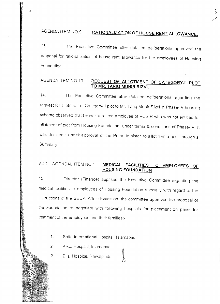## AGENDA ITEM NO.9 **RATIONALIZATION OF HOUSE RENT ALLOWANCE.**

--- .<br>S /

13. The Executive Committee after detailed deliberations approved the proposal for rationalization of house rent allowance for the employees of Housing Foundation

### AGENDA ITEM NO.10 **REQUEST OF ALLOTMENT OF CATEGORY-II PLOT TO MR. TARIQ MUNIR RIZVI.**

14. The Executive Committee after detailed deliberations regarding the request for allotment of Category-Ii plot to Mr. Tariq Munir Rizvi in Phase-IV housing scheme observed that he was a retired employee of PCSIR who was not entitled for allotment of plot from Housing Foundation under terms & conditions of Phase-IV. It was decided to seek a pproval of the Prime Minister to allot him a plot through a Summary

### ADDL. AGENDAL ITEM NO.1 **MEDICAL FACILITIES TO EMPLOYEES OF HOUSING FOUNDATION**

15. Director (Finance) apprised the Executive Committee regarding the medical facilities to employees of Housing Foundation specially with regard to the instructions of the SECP. After discussion, the committee approved the proposal of the Foundation to negotiate with following hospitals for placement on panel for treatment of the employees and their families:-

- $1<sub>1</sub>$ Shifa International Hospital, Islamabad
- $2<sub>1</sub>$ KRL, Hospital, Islamabad.
- 3. Bilal Hospital, Rawalpindi.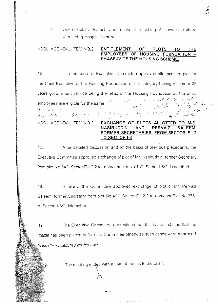4. One hospital at Karachi and in case of launching of scheme at Lahore with Ittefaq Hospital Lahore.

#### ADDL. AGENDAL ITEM NO.2 ENTITLEMENT OF PLOTS TO THE EMPLOYEES OF HOUSING FOUNDATION -PHASE-IV OF THE HOUSING SCHEME.

16. The members of Executive Committee approved allotment of plot for the Chief Executive of the Housing Foundation of his category having minimum 25 years government service being the head of the Housing Foundation as the other *- /' ,.:(~ (- .. ::1', ..*-c.,.,./ . employees are eligible for the same,  $\frac{1}{2}$ ,  $\frac{1}{2}$ ,  $\frac{1}{2}$ ,  $\frac{1}{2}$ ,  $\frac{1}{2}$ ,  $\frac{1}{2}$ ,  $\frac{1}{2}$ ,  $\frac{1}{2}$ ,  $\frac{1}{2}$ ,  $\frac{1}{2}$ ,  $\frac{1}{2}$ ,  $\frac{1}{2}$ ,  $\frac{1}{2}$ ,  $\frac{1}{2}$ ,  $\frac{1}{2}$ ,  $\frac{1}{2}$ ,  $\frac{1}{2}$ toundation, CDA or my back to party at large to conduct of the first of ADDL. AGENDAL ITEM NO.3 EXCHANGE OF PLOTS ALLOTTED TO *MIS.* NASIRUDDIN AND PERVAIZ SALEEM, FORMER SECRETARIES, FROM SECTOR E-12

17. After detailed discussion and on the basis of previous precedents, the Executive Committee approved exchange of plot of Mr. Nasiruddin, former Secretary from plot NO.543, Sector E-12/2 to a vacant plot NO.1-G, Sector 1-8/2, Islamabad.

TO SECTOR 1-8

18. Similarly, the Committee approved exchange of plot cf Mr. Pervaiz Saleem, former Secretary from plot No.491. Sector E-12!2 to a vacant Plot NO.378- A, Sector 1-8/2, Islamabad.

19. The Executive Committee appreciated that this is the first time that the matter has been placed before the Committee otherwise such cases were approved *by the Chief Executive <sup>017</sup> his OWI7.*

The meeting ended with a vote of thanks to the chair.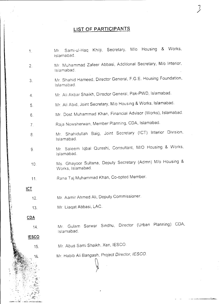## **LIST OF PARTICIPANTS**

 $\mathcal{I}$ 

1. Mr Sami-ul-Haq Khilji, Secretary, *Mlo* Housing & Works, Islamabad. 2. Mr Muhammad Zafeer Abbasi, Additional Secretary, *Mlo* Interior, Islamabad. 3. Mr Shahid Hameed, Director General, F.G.E. Housing Foundation, Islamabad. 4. M~ Ali Akbar Shaikh, Director General, Pak-PWD, Islamabad. 5. Mr Ali Abid, Joint Secretary, *Mio* HOUSing& Works, Islamabad. 6. Mr. Dost Muhammad Khan, Financial Advisor (Works), Islamabad. 7. Raja Nowsherwan, Member Planning, CDA, Islamabad. 8 Mr. Shahidullah Baig, Joint Secretary (ICT) Interior Division, Islamabad. 9. Mr Saleem Iqbal Oureshi, Consultant, *MIG* Housing & Works, Islamabad. 10. Ms. Ghayoor Sultana, Deputy Secretary (Admn) *Mlo* Housing & Works, Islamabad. , 11. Rana Taj Muhammad Khan, Co-opted Member. '\:l **leT** 12. Mr. Aamir Ahmed Ali, Deputy Commissioner. 13. Mr. Liaqat Abbasi, LAC. 15. Mr Abus Sami Shaikh, Xen, IESCO Mr. Gulam Sarwar Sindhu, Director (Urban Planning) COA, Islamabad. \0. Mr. Habib Ali Bangash, *Project* Director, *fESCo.* ~ 14. **IESCO COA**

~,

:!.<> •... . "-- •••• ~ •.-. > -\_ . ..;.~-.~~~.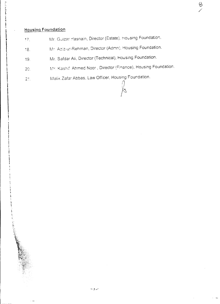## **Housing Foundation**

 $\blacksquare$ i I \  $\mathbf{I}$ \

- Mr. Gulzar Hasnain, Director (Estate). Housing Foundation.  $17.$
- '18. Mr. Aziz-ur-Rehman, Director (Admn), Housing Foundation.
- 19. Mr. Safdar Ali, Director (Technical), Housing Foundation.
- *20.* Mr. Kashif Ahmed Noor, Director (Finance), Housing Foundation.

*n*

 $\mathbb{Z}$ 

 $\overline{\mathcal{E}}$ /

Malik Zafar Abbas, Law Officer, Housing Foundation.  $21.$ 

- 7./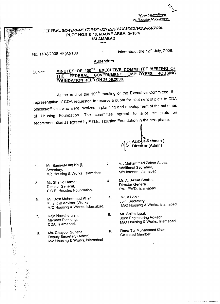~\.'\"'"'\..'t\\.'t\\.~~~'~  $Br$  Special Messenger

'\-

## FEDERAL GOVERNMENT EMPLOYEES HOUSING FOUNDATION PLOT NO.9 & 10, MAUVE AREA, G-10/4 ISLAMABAD **.....**

No. 11(4)/2008-HF(A)/1 00

Islamabad, the 12<sup>th</sup> July, 2008

#### Addendum

MINUTES OF 100TH EXECUTIVE COMMITTEE MEETING OF THE FEDERAL GOVERNMENT FOUNDATION HELD ON 26.06.2008. Subject: -

At the end of the 100<sup>th</sup> meeting of the Executive Committee, the representative of COA requested to reserve a quota for allotment of plots to COA officers/officials who were involved in planning and development of the schemes of Housing Foundation. The committee agreed to allot the plots on recommendation as agreed by F.G.E. Housing Foundation in the next phase.

 $\frac{1}{2}$  ( Aziz-µr-Rehman )  $\frac{1}{2}$  $\Omega |U\>$  Director (Admn

*M/o* Housing & Works, Islamabad

- 3. Mr. Shahid Hameed, 4. Mr. Ali Akbar Shaikh, Director General, Director General.<br>F.G. E. Hauging Foundation Pak. PWD. Islamabad. F.G.E. Housing Foundation.
- 5. Mr. Dost Muhammad Khan, 6. Mr. Ali Abid.<br>
Figure is a still advisor (N/orks) 6. Joint Secretary. *M/O* Housing & Works, Islamabad. *M/O* Housing & Works, Islamabad.
- 7. Raja Nowsherwan, 8. Mr. Salim Iqbal, 8. Mr. Salim Iqbal, 8. Mr. Salim Iqbal, 8. Mr. Salim Iqbal, 8. Mr. Salim Iqbal, 8. Mr. Salim Iqueerin

lt~

Deputy Secretary (Admn), M/o Housing & Works, Islamabad

- 1. Mr. Sami-ul-Haq Khilji, 2. Mr. Muhammad Zafeer Abbasi,<br>Secretary, 2. Additional Secretary, Additional Secretary,<br>M/o Interior, Islamabad.
	-
	- Financial Advisor (Works), Joint Secretary.<br>M/O Housing & Works, Islamabad M/O Housing & Works, Islamabad.
	- Member Planning, Member Planning, Joint Engineering Advisor,<br>
	CDA, Islamabad. M/O Housing & Works, Isla M/O Housing & Works, Islamabad.
- 9. Ms. Ghayoor Sultana, 10. Rana Taj Muhammad Khan,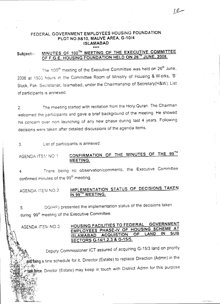## FEDERAL GOVERNMENT EMPLOYEES HOUSING FOUNDATION PLOT NO.9&10, MAUVE AREA, G-10/4 ISLAMABAD

## Subject:- MINUTES OF 100TH MEETING OF THE EXECUTIVE COMMITTEE OF F.G.E. HOUSING FOUNDATION HELD ON 26<sup>TH</sup> JUNE, 2008.

The 100<sup>th</sup> meeting of the Executive Committee was held on 26<sup>th</sup> June. 2008 at 1500 hours in the Committee Room of Ministry of Housing & Works, 'B' Block, Pak. Secretariat. Islamabad, under the Chairmanship of Secretary(H&W). List of participants is annexed.

2. The meeting started with recitation from the Holy Quran. The Chairman welcomed the participants and gave a brief background of the meeting. He showed his concern over non iaunching of any new phase during last 4 years. Following decisions were taken after detailed discussions of the agenda items.

3. List of participants is annexed.

#### AGENDA ITEM NO 1 CONFIRMATION OF THE MINUTES OF THE  $99^\mathrm{Th}$ MEETING.

4. There being no observation/comments, the Executive Committee confirmed minutes of the 99<sup>th</sup> meeting.

IMPLEMENTATION STATUS OF DECISIONS TAKEN IN 99<sup>TH</sup> MEETING. AGENDA ITEM NO.2

5. DGIHF) presented the implementation status of the decisions taken during 99<sup>th</sup> meeting of the Executive Committee.

AGENDA ITEM NO:3

*\_~~~<t-*

### HOUSING FACILITIES TO FEDERAL GOVERNMENT EMPLOYEES PHASE-IV OF HOUSING SCHEME AT ISLAMABAD ACQUISTION OF LAND IN SECTORS G-14/1 ,2,3 & *G-15/5.*

Deputy Commissioner ICT assured of acquiring G-15/3 land on priority and fixing a time schedule for it. Director (Estate) to replace Direction (Admn) in the *~~:~.~1tt~"'~*

 $\mathbb{R}$ :  $\mathbb{R}$  force. Director (Estate) may keep in touch with District Admn for this purpose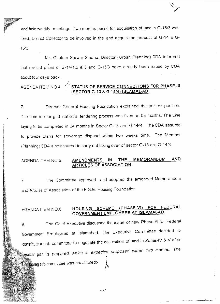*and* hold weekly meetings. Two months period for acquisition of land in G-15/3 was fixed. District Collector to be involved in the land acquisition process of G-14 & G-15/3.

Mr. Ghulam Sarwar Sindhu, Director (Urban Planning) CDA informed that revised plans of G-14/1,2 & 3 and G-15/3 have already been issued by CDA about four days back.

## AGENDA ITEtv1 NOA **STATUS OF SERVICE CONNECTIONS FOR PHASE-III (SECTOR G-13 & G-14/4) ISLAMABAD.**

7. Director General Housing Foundation explained the present position. The time line for grid station's, tendering process was fixed as 03 months. The Line laying to be completed in 04 months in Sector G-13 and G-14/4. The CDA assured. to provide plans for sewerage disposal within two weeks time. The Member (Planning) CDA also assured to carry out taking over of sector G-13 and G-14/4.

#### AGENDA ITE~/l NO.5 **AMENDMENTS IN THE MEMORANDUM AND ARTICLES OF ASSOCIATION.**

8. The Committee approved and adopted the amended Memorandum and Articles of Association of the F.G.E. Housing Foundation.

AGENDA ITEfvl NO.6 **HOUSING SCHEME (PHASE-VI) FOR FEDERAL GOVERNMENT EMPLOYEES AT ISLAMABAD.**

Government Employees at Islamabad. The Executive Committee decided to constitute a sub-committee to negotiate the acquisition of land in Zones-IV & V after The Chief Executive discussed the issue of new Phase-VI for Federal *within* two *months.* The aster plan is *prepared which is expected proposed* inlowing sub-committee was constituted:-9.

-2-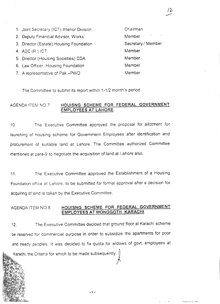1. Joint Secretary (ICT) Interior Division Chairman 2. Deputy Financial Advisor, Works. Member 3. Director (Estate). Housing Foundation Secretary / Member 4. ADC (R ) ICT. Member 5. Director (Housing Societies) CDA Member 6. Law Officer, Housing Foundation Member 7. A representative of Pak -PWD ... Member

The Committee to submit its report within 1-1/2 month's period.

#### AGENDA. lTErv1NO.7 **HOUISNG SCHEME FOR FEDERAL GOVERNMENT EMPLOYEES AT LAHORE.**

12

10. The Executive Committee approved the proposal for allotment for launching of housing scheme for Government Employees after identification and procurement of suitable land at Lahore. The Committee authorized Committee mentioned at para-9 to negotiate the acquisition of land at Lahore also.

11. The Executive Committee approved the Establishment of a Housing Foundation office at Lahore, to be submitted for formal approval after a decision for acquiring of land is taken by the Executive Committee.

#### AGENDA ITEM NO.8 **HOUISNG SCHEME FOR FEDERAL GOVERNMENT EMPLOYEES AT MONOGOTH KARACHI.**

12. The Executive Committee decided that ground floor at Karachi scheme be reserved for commercial purpose in order to subsidize the apartments for poor and needy peoples. It was decided to fix quota for widows of govt. employees at

. و.

Karachi, the Criteria for which to be made subsequently.  $\parallel$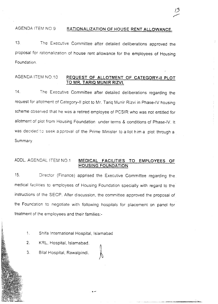### AGENDA ITEM NO.9 **RATIONALIZATION OF** HOUSE **RENT ALLOWANCE.**

/5".---

-

~ \_...,\_.-, \_\_.~\_' - ~ ..~..~ """"':"A\$\_~

13. The Executive Committee after detailed deliberations approved the proposal for rationalization of house rent allowance for the employees of Housing Foundation.

#### AGENDA ITEM NO.1 0 **REQUEST OF ALLOTMENT OF CATEGORY.II PLOT TO MR. TARIQ MUNIR RIZVI.**

14. The Executive Committee after detailed deliberations regarding the request for allotment of Category-II plot to Mr. Tariq Munir Rizvi in Phase-IV housing scheme observed that he was a retired employee of PCSIR who was not entitled for allotment of plot from Housing Foundation under terms & conditions of Phase-IV. It was decided to seek a pproval of the Prime Minister to allot him a plot through a Summary.

#### ADDL. AGENDAL ITEM NO.1 **MEDICAL FACILITIES TO EMPLOYEES OF HOUSING FOUNDATION**

15. Director (Finance) apprised the Executive Committee regarding the medical facilities to employees of Housing Foundation specially with regard to the instructions of the SECP. After discussion, the committee approved the proposal of the Founcation to negotiate with following hospitals for placement on panel for treatment of the employees and their families:-

lo-

- 1. Shifa International Hospital, Islamabad
- 2. KRL, Hospital, Islamabad.
- 3. Bilal Hospital, Rawalpindi.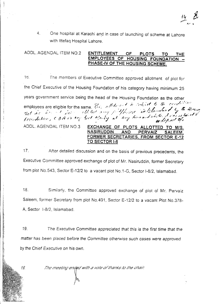4. One hospital at Karachi and in case of launching of scheme at Lahore with Ittefaq Hospital Lahore.

ADDL. AGENDAL ITEM NO.2 ENTITLEMENT OF PLOTS

## EMPLOYEES OF HOUSING FOUNDATION PHASE-IV OF THE HOUSING SCHEME.

the Chief Executive of the Housing Foundation of his category having minimum 25 years government service being the head of the Housing Foundation as the other *I .* .I *A:I'I / ..".*,,'1 " *. . ---I . I/,./,. 'f.' I* ;r *'~('~i' fT (/ /.L' ("!",'r' .* employees are eligible for the same. This are the first of the Completed by the Hitsing.<br>Hat he has not have all the test array for finishes in Sommland by the Hitsing.<br>Coundation CDH or the boxt agency at any time and who foundation, CDH or the sext means of art any when  $\omega$  or dip sol of a ADDL. AGENOAL ITEM NO.3 EXCHANGE OF PLOTS ALLOTTED TO *MIS.* NASIRUDDIN AND PERVAIZ 1b. The members of Executive Committee approved allotment of plot for

## FORMER SECRETARIES, FROM SECTOR E-12 TO SECTOR 1.8

17. After detailed discussion and on the basis of previous precedents, the Executive Committee approved exchange of plot of Mr. Nasiruddin, former Secretary from plot NO.543. Sector E-12/2 to a vacant plot NO.1-G, Sector 1-8/2, Islamabad.

18. Similarly, the Committee approved exchange of plot of Mr. Pervaiz A, Sector 1-8/2, Islamabad. Saleem, former Secretary from plot No.491, Sector E-12/2 to a vacant Plot No.378-

by *the Chief* Executive on *his* own. *The* Executive *Committee appreciated that this* is *the first time that the* 19. matter has been *placed before the Committee otherwise such* cases *were approved*

The meeting ended with a vote of thanks to the chair.

19.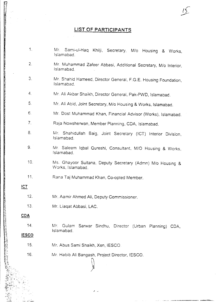## **LIST OF PARTICIPANTS**

| 1.           | $Mr_{-}$<br>Sami-ul-Haq Khilji, Secretary, M/o Housing & Works,<br>Islamabad.   |
|--------------|---------------------------------------------------------------------------------|
| 2.           | Mr. Muhammad Zafeer Abbasi, Additional Secretary, M/o Interior,<br>Islamabad.   |
| 3.           | Mr. Shahid Hameed, Director General, F.G.E. Housing Foundation,<br>Islamabad.   |
| 4.           | Mr. Ali Akbar Shaikh, Director General, Pak-PWD, Islamabad.                     |
| 5.           | Mr. Ali Abid, Joint Secretary, M/o Housing & Works, Islamabad.                  |
| 6.           | Mr. Dost Muhammad Khan, Financial Advisor (Works), Islamabad.                   |
| 7.           | Raja Nowsherwan, Member Planning, CDA, Islamabad.                               |
| 8.           | Mr. Shahidullah Baig, Joint Secretary (ICT) Interior Division,<br>Islamabad.    |
| 9.           | Mr. Saleem Iqbal Qureshi, Consultant, M/O Housing & Works,<br>Islamabad.        |
| 10.          | Ms. Ghayoor Sultana, Deputy Secretary (Admn) M/o Housing &<br>Works, Islamabad. |
| 11.          | Rana Taj Muhammad Khan, Co-opted Member.                                        |
| ICT.         |                                                                                 |
| 12.          | Mr. Aamir Ahmed Ali, Deputy Commissioner.                                       |
| 13.          | Mr. Liaqat Abbasi, LAC.                                                         |
| CDA          |                                                                                 |
| 14.          | Mr.<br>Gulam Sarwar Sindhu, Director (Urban Planning) CDA,<br>Islamabad.        |
| <u>IESCO</u> |                                                                                 |
| 15.          | Mr. Abus Sami Shaikh, Xen, IESCO.                                               |
| 16.          | Mr. Habib Ali Bangash, Project Director, IESCO.                                 |
|              |                                                                                 |

 $15$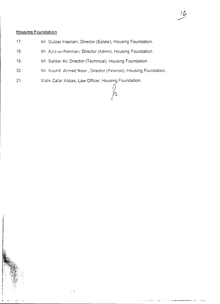#### **Housing Foundation**

- 17. Mr. Guizar Hasnain, Director (Estate), Housing Foundation.
- 18. Mr. Aziz-ur-Rehman, Director (Admn), Housing Foundation.
- 19. Mr. Safdar Ali, Director (Technical), Housing Foundation.
- 20. Mr. Kashif Ahmed Noor, Director (Finance), Housing Foundation.

~ *I*

16

21. Malik Zafar Abbas, Law Officer, Housing Foundation.